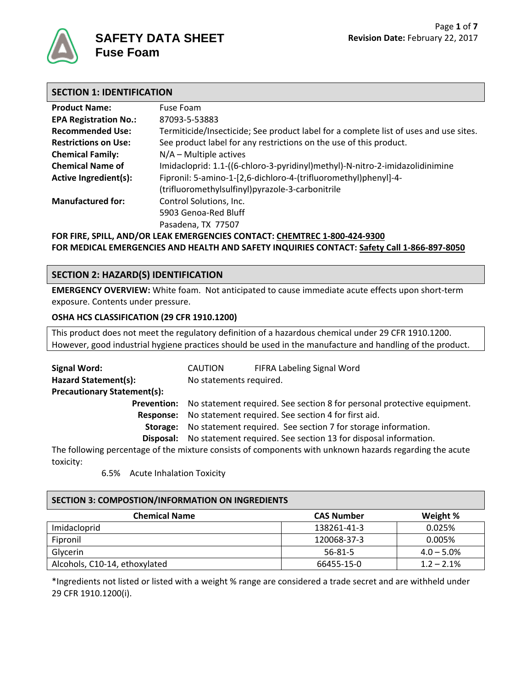

### **SECTION 1: IDENTIFICATION**

| <b>Product Name:</b>         | Fuse Foam                                                                             |
|------------------------------|---------------------------------------------------------------------------------------|
| <b>EPA Registration No.:</b> | 87093-5-53883                                                                         |
| <b>Recommended Use:</b>      | Termiticide/Insecticide; See product label for a complete list of uses and use sites. |
| <b>Restrictions on Use:</b>  | See product label for any restrictions on the use of this product.                    |
| <b>Chemical Family:</b>      | $N/A$ – Multiple actives                                                              |
| <b>Chemical Name of</b>      | Imidacloprid: 1.1-((6-chloro-3-pyridinyl)methyl)-N-nitro-2-imidazolidinimine          |
| <b>Active Ingredient(s):</b> | Fipronil: 5-amino-1-[2,6-dichloro-4-(trifluoromethyl)phenyl]-4-                       |
|                              | (trifluoromethylsulfinyl)pyrazole-3-carbonitrile                                      |
| <b>Manufactured for:</b>     | Control Solutions, Inc.                                                               |
|                              | 5903 Genoa-Red Bluff                                                                  |
|                              | Pasadena, TX 77507                                                                    |
|                              | FOR FIRE, SPILL, AND/OR LEAK EMERGENCIES CONTACT: CHEMTREC 1-800-424-9300             |

**FOR MEDICAL EMERGENCIES AND HEALTH AND SAFETY INQUIRIES CONTACT: Safety Call 1-866-897-8050**

# **SECTION 2: HAZARD(S) IDENTIFICATION**

**EMERGENCY OVERVIEW:** White foam. Not anticipated to cause immediate acute effects upon short-term exposure. Contents under pressure.

### **OSHA HCS CLASSIFICATION (29 CFR 1910.1200)**

This product does not meet the regulatory definition of a hazardous chemical under 29 CFR 1910.1200. However, good industrial hygiene practices should be used in the manufacture and handling of the product.

| <b>Signal Word:</b>                | <b>CAUTION</b>          | FIFRA Labeling Signal Word                                                                              |
|------------------------------------|-------------------------|---------------------------------------------------------------------------------------------------------|
| <b>Hazard Statement(s):</b>        | No statements required. |                                                                                                         |
| <b>Precautionary Statement(s):</b> |                         |                                                                                                         |
| <b>Prevention:</b>                 |                         | No statement required. See section 8 for personal protective equipment.                                 |
| Response:                          |                         | No statement required. See section 4 for first aid.                                                     |
| Storage:                           |                         | No statement required. See section 7 for storage information.                                           |
|                                    |                         | Disposal: No statement required. See section 13 for disposal information.                               |
|                                    |                         | The following percentage of the mixture consists of components with unknown hazards regarding the acute |
| toxicity:                          |                         |                                                                                                         |

#### 6.5% Acute Inhalation Toxicity

#### **SECTION 3: COMPOSTION/INFORMATION ON INGREDIENTS**

| <b>Chemical Name</b>          | <b>CAS Number</b> | Weight %      |
|-------------------------------|-------------------|---------------|
| Imidacloprid                  | 138261-41-3       | 0.025%        |
| Fipronil                      | 120068-37-3       | 0.005%        |
| Glycerin                      | 56-81-5           | $4.0 - 5.0\%$ |
| Alcohols, C10-14, ethoxylated | 66455-15-0        | $1.2 - 2.1\%$ |

\*Ingredients not listed or listed with a weight % range are considered a trade secret and are withheld under 29 CFR 1910.1200(i).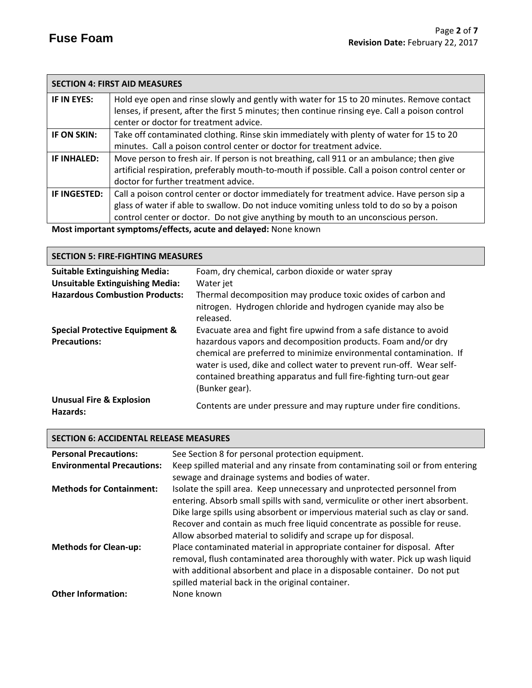|              | <b>SECTION 4: FIRST AID MEASURES</b>                                                            |
|--------------|-------------------------------------------------------------------------------------------------|
| IF IN EYES:  | Hold eye open and rinse slowly and gently with water for 15 to 20 minutes. Remove contact       |
|              | lenses, if present, after the first 5 minutes; then continue rinsing eye. Call a poison control |
|              | center or doctor for treatment advice.                                                          |
| IF ON SKIN:  | Take off contaminated clothing. Rinse skin immediately with plenty of water for 15 to 20        |
|              | minutes. Call a poison control center or doctor for treatment advice.                           |
| IF INHALED:  | Move person to fresh air. If person is not breathing, call 911 or an ambulance; then give       |
|              | artificial respiration, preferably mouth-to-mouth if possible. Call a poison control center or  |
|              | doctor for further treatment advice.                                                            |
| IF INGESTED: | Call a poison control center or doctor immediately for treatment advice. Have person sip a      |
|              | glass of water if able to swallow. Do not induce vomiting unless told to do so by a poison      |
|              | control center or doctor. Do not give anything by mouth to an unconscious person.               |
|              | Most important cumptoms/offects, squite and delayed: Nape known                                 |

**Most important symptoms/effects, acute and delayed:** None known

| <b>SECTION 5: FIRE-FIGHTING MEASURES</b>        |                                                                                                                                                                                                                                                                                                    |  |
|-------------------------------------------------|----------------------------------------------------------------------------------------------------------------------------------------------------------------------------------------------------------------------------------------------------------------------------------------------------|--|
| <b>Suitable Extinguishing Media:</b>            | Foam, dry chemical, carbon dioxide or water spray                                                                                                                                                                                                                                                  |  |
| <b>Unsuitable Extinguishing Media:</b>          | Water jet                                                                                                                                                                                                                                                                                          |  |
| <b>Hazardous Combustion Products:</b>           | Thermal decomposition may produce toxic oxides of carbon and                                                                                                                                                                                                                                       |  |
|                                                 | nitrogen. Hydrogen chloride and hydrogen cyanide may also be<br>released.                                                                                                                                                                                                                          |  |
| <b>Special Protective Equipment &amp;</b>       | Evacuate area and fight fire upwind from a safe distance to avoid                                                                                                                                                                                                                                  |  |
| <b>Precautions:</b>                             | hazardous vapors and decomposition products. Foam and/or dry<br>chemical are preferred to minimize environmental contamination. If<br>water is used, dike and collect water to prevent run-off. Wear self-<br>contained breathing apparatus and full fire-fighting turn-out gear<br>(Bunker gear). |  |
| <b>Unusual Fire &amp; Explosion</b><br>Hazards: | Contents are under pressure and may rupture under fire conditions.                                                                                                                                                                                                                                 |  |

# **SECTION 6: ACCIDENTAL RELEASE MEASURES**

| <b>Personal Precautions:</b>      | See Section 8 for personal protection equipment.                               |
|-----------------------------------|--------------------------------------------------------------------------------|
| <b>Environmental Precautions:</b> | Keep spilled material and any rinsate from contaminating soil or from entering |
|                                   | sewage and drainage systems and bodies of water.                               |
| <b>Methods for Containment:</b>   | Isolate the spill area. Keep unnecessary and unprotected personnel from        |
|                                   | entering. Absorb small spills with sand, vermiculite or other inert absorbent. |
|                                   | Dike large spills using absorbent or impervious material such as clay or sand. |
|                                   | Recover and contain as much free liquid concentrate as possible for reuse.     |
|                                   | Allow absorbed material to solidify and scrape up for disposal.                |
| <b>Methods for Clean-up:</b>      | Place contaminated material in appropriate container for disposal. After       |
|                                   | removal, flush contaminated area thoroughly with water. Pick up wash liquid    |
|                                   | with additional absorbent and place in a disposable container. Do not put      |
|                                   | spilled material back in the original container.                               |
| <b>Other Information:</b>         | None known                                                                     |
|                                   |                                                                                |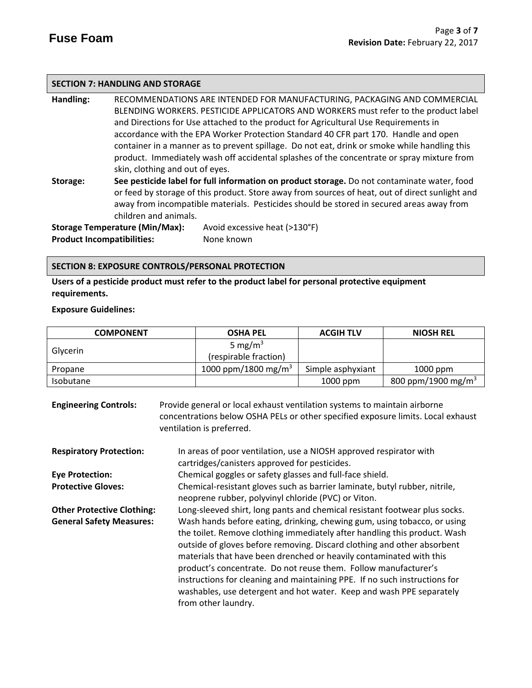### **SECTION 7: HANDLING AND STORAGE**

**Handling:** RECOMMENDATIONS ARE INTENDED FOR MANUFACTURING, PACKAGING AND COMMERCIAL BLENDING WORKERS. PESTICIDE APPLICATORS AND WORKERS must refer to the product label and Directions for Use attached to the product for Agricultural Use Requirements in accordance with the EPA Worker Protection Standard 40 CFR part 170.Handle and open container in a manner as to prevent spillage. Do not eat, drink or smoke while handling this product. Immediately wash off accidental splashes of the concentrate or spray mixture from skin, clothing and out of eyes. **Storage: See pesticide label for full information on product storage.** Do not contaminate water, food or feed by storage of this product. Store away from sources of heat, out of direct sunlight and

away from incompatible materials. Pesticides should be stored in secured areas away from children and animals.

**Product Incompatibilities:** None known

**Storage Temperature (Min/Max):** Avoid excessive heat (>130°F)

### **SECTION 8: EXPOSURE CONTROLS/PERSONAL PROTECTION**

**Users of a pesticide product must refer to the product label for personal protective equipment requirements.**

**Exposure Guidelines:**

| <b>COMPONENT</b> | <b>OSHA PEL</b>                 | <b>ACGIH TLV</b>  | <b>NIOSH REL</b>               |
|------------------|---------------------------------|-------------------|--------------------------------|
|                  | 5 mg/m <sup>3</sup>             |                   |                                |
| Glycerin         | (respirable fraction)           |                   |                                |
| Propane          | 1000 ppm/1800 mg/m <sup>3</sup> | Simple asphyxiant | $1000$ ppm                     |
| <b>Isobutane</b> |                                 | $1000$ ppm        | 800 ppm/1900 mg/m <sup>3</sup> |

**Engineering Controls:** Provide general or local exhaust ventilation systems to maintain airborne concentrations below OSHA PELs or other specified exposure limits. Local exhaust ventilation is preferred. **Respiratory Protection:** In areas of poor ventilation, use a NIOSH approved respirator with cartridges/canisters approved for pesticides. **Eye Protection:** Chemical goggles or safety glasses and full-face shield.

**Protective Gloves:** Chemical-resistant gloves such as barrier laminate, butyl rubber, nitrile,

neoprene rubber, polyvinyl chloride (PVC) or Viton. **Other Protective Clothing:** Long-sleeved shirt, long pants and chemical resistant footwear plus socks. **General Safety Measures:** Wash hands before eating, drinking, chewing gum, using tobacco, or using the toilet. Remove clothing immediately after handling this product. Wash outside of gloves before removing. Discard clothing and other absorbent materials that have been drenched or heavily contaminated with this product's concentrate. Do not reuse them. Follow manufacturer's instructions for cleaning and maintaining PPE. If no such instructions for washables, use detergent and hot water. Keep and wash PPE separately from other laundry.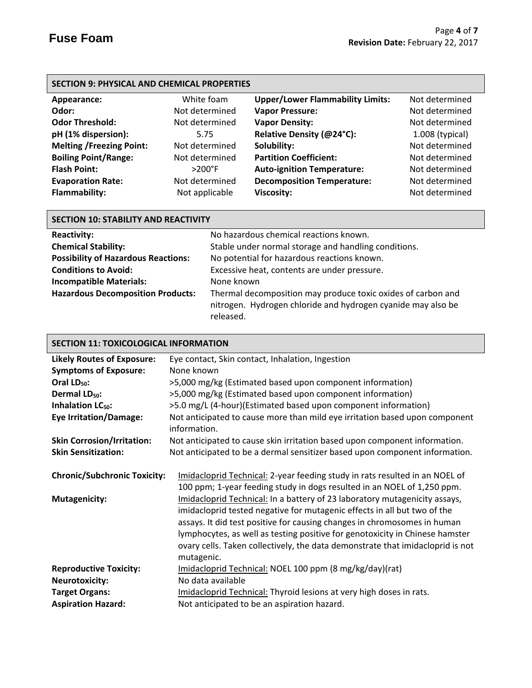# **SECTION 9: PHYSICAL AND CHEMICAL PROPERTIES**

| Appearance:                     | White foam       | <b>Upper/Lower Flammability Limits:</b> | Not determined    |
|---------------------------------|------------------|-----------------------------------------|-------------------|
| Odor:                           | Not determined   | <b>Vapor Pressure:</b>                  | Not determined    |
| <b>Odor Threshold:</b>          | Not determined   | <b>Vapor Density:</b>                   | Not determined    |
| pH (1% dispersion):             | 5.75             | Relative Density (@24°C):               | $1.008$ (typical) |
| <b>Melting /Freezing Point:</b> | Not determined   | Solubility:                             | Not determined    |
| <b>Boiling Point/Range:</b>     | Not determined   | <b>Partition Coefficient:</b>           | Not determined    |
| <b>Flash Point:</b>             | $>200^{\circ}$ F | <b>Auto-ignition Temperature:</b>       | Not determined    |
| <b>Evaporation Rate:</b>        | Not determined   | <b>Decomposition Temperature:</b>       | Not determined    |
| Flammability:                   | Not applicable   | <b>Viscosity:</b>                       | Not determined    |

# **SECTION 10: STABILITY AND REACTIVITY**

| <b>Reactivity:</b>                         | No hazardous chemical reactions known.                                                                                                    |
|--------------------------------------------|-------------------------------------------------------------------------------------------------------------------------------------------|
| <b>Chemical Stability:</b>                 | Stable under normal storage and handling conditions.                                                                                      |
| <b>Possibility of Hazardous Reactions:</b> | No potential for hazardous reactions known.                                                                                               |
| <b>Conditions to Avoid:</b>                | Excessive heat, contents are under pressure.                                                                                              |
| <b>Incompatible Materials:</b>             | None known                                                                                                                                |
| <b>Hazardous Decomposition Products:</b>   | Thermal decomposition may produce toxic oxides of carbon and<br>nitrogen. Hydrogen chloride and hydrogen cyanide may also be<br>released. |

# **SECTION 11: TOXICOLOGICAL INFORMATION**

| <b>Likely Routes of Exposure:</b>   | Eye contact, Skin contact, Inhalation, Ingestion                                                                                                                                                                                                                                                                                                                                                                   |  |  |
|-------------------------------------|--------------------------------------------------------------------------------------------------------------------------------------------------------------------------------------------------------------------------------------------------------------------------------------------------------------------------------------------------------------------------------------------------------------------|--|--|
| <b>Symptoms of Exposure:</b>        | None known                                                                                                                                                                                                                                                                                                                                                                                                         |  |  |
| Oral LD <sub>50</sub> :             | >5,000 mg/kg (Estimated based upon component information)                                                                                                                                                                                                                                                                                                                                                          |  |  |
| Dermal LD <sub>50</sub> :           | >5,000 mg/kg (Estimated based upon component information)                                                                                                                                                                                                                                                                                                                                                          |  |  |
| Inhalation LC <sub>50</sub> :       | >5.0 mg/L (4-hour)(Estimated based upon component information)                                                                                                                                                                                                                                                                                                                                                     |  |  |
| <b>Eye Irritation/Damage:</b>       | Not anticipated to cause more than mild eye irritation based upon component<br>information.                                                                                                                                                                                                                                                                                                                        |  |  |
| <b>Skin Corrosion/Irritation:</b>   | Not anticipated to cause skin irritation based upon component information.                                                                                                                                                                                                                                                                                                                                         |  |  |
| <b>Skin Sensitization:</b>          | Not anticipated to be a dermal sensitizer based upon component information.                                                                                                                                                                                                                                                                                                                                        |  |  |
| <b>Chronic/Subchronic Toxicity:</b> | Imidacloprid Technical: 2-year feeding study in rats resulted in an NOEL of<br>100 ppm; 1-year feeding study in dogs resulted in an NOEL of 1,250 ppm.                                                                                                                                                                                                                                                             |  |  |
| <b>Mutagenicity:</b>                | Imidacloprid Technical: In a battery of 23 laboratory mutagenicity assays,<br>imidacloprid tested negative for mutagenic effects in all but two of the<br>assays. It did test positive for causing changes in chromosomes in human<br>lymphocytes, as well as testing positive for genotoxicity in Chinese hamster<br>ovary cells. Taken collectively, the data demonstrate that imidacloprid is not<br>mutagenic. |  |  |
| <b>Reproductive Toxicity:</b>       | Imidacloprid Technical: NOEL 100 ppm (8 mg/kg/day)(rat)                                                                                                                                                                                                                                                                                                                                                            |  |  |
| <b>Neurotoxicity:</b>               | No data available                                                                                                                                                                                                                                                                                                                                                                                                  |  |  |
| <b>Target Organs:</b>               | Imidacloprid Technical: Thyroid lesions at very high doses in rats.                                                                                                                                                                                                                                                                                                                                                |  |  |
| <b>Aspiration Hazard:</b>           | Not anticipated to be an aspiration hazard.                                                                                                                                                                                                                                                                                                                                                                        |  |  |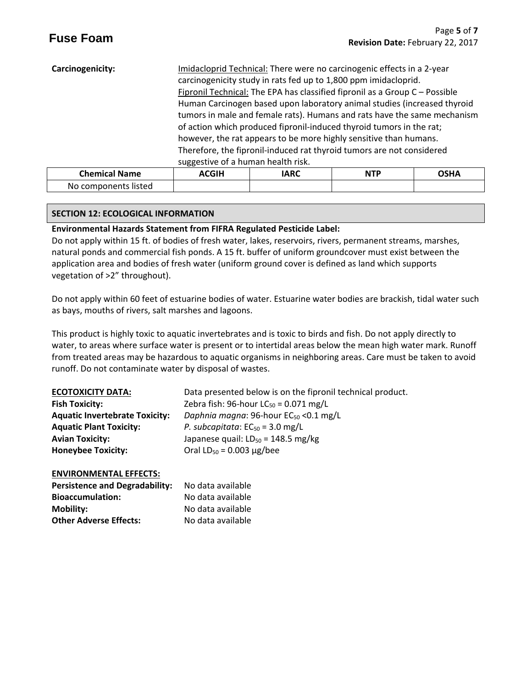| Carcinogenicity:     | suggestive of a human health risk. | Imidacloprid Technical: There were no carcinogenic effects in a 2-year<br>carcinogenicity study in rats fed up to 1,800 ppm imidacloprid.<br>Fipronil Technical: The EPA has classified fipronil as a Group C - Possible<br>Human Carcinogen based upon laboratory animal studies (increased thyroid<br>tumors in male and female rats). Humans and rats have the same mechanism<br>of action which produced fipronil-induced thyroid tumors in the rat;<br>however, the rat appears to be more highly sensitive than humans.<br>Therefore, the fipronil-induced rat thyroid tumors are not considered |            |             |
|----------------------|------------------------------------|--------------------------------------------------------------------------------------------------------------------------------------------------------------------------------------------------------------------------------------------------------------------------------------------------------------------------------------------------------------------------------------------------------------------------------------------------------------------------------------------------------------------------------------------------------------------------------------------------------|------------|-------------|
| <b>Chemical Name</b> | <b>ACGIH</b>                       | <b>IARC</b>                                                                                                                                                                                                                                                                                                                                                                                                                                                                                                                                                                                            | <b>NTP</b> | <b>OSHA</b> |

# **SECTION 12: ECOLOGICAL INFORMATION**

No components listed

# **Environmental Hazards Statement from FIFRA Regulated Pesticide Label:**

Do not apply within 15 ft. of bodies of fresh water, lakes, reservoirs, rivers, permanent streams, marshes, natural ponds and commercial fish ponds. A 15 ft. buffer of uniform groundcover must exist between the application area and bodies of fresh water (uniform ground cover is defined as land which supports vegetation of >2" throughout).

Do not apply within 60 feet of estuarine bodies of water. Estuarine water bodies are brackish, tidal water such as bays, mouths of rivers, salt marshes and lagoons.

This product is highly toxic to aquatic invertebrates and is toxic to birds and fish. Do not apply directly to water, to areas where surface water is present or to intertidal areas below the mean high water mark. Runoff from treated areas may be hazardous to aquatic organisms in neighboring areas. Care must be taken to avoid runoff. Do not contaminate water by disposal of wastes.

| <b>ECOTOXICITY DATA:</b>              | Data presented below is on the fipronil technical product. |
|---------------------------------------|------------------------------------------------------------|
| <b>Fish Toxicity:</b>                 | Zebra fish: 96-hour $LC_{50} = 0.071$ mg/L                 |
| <b>Aquatic Invertebrate Toxicity:</b> | Daphnia magna: 96-hour EC <sub>50</sub> < 0.1 mg/L         |
| <b>Aquatic Plant Toxicity:</b>        | P. subcapitata: $EC_{50} = 3.0$ mg/L                       |
| <b>Avian Toxicity:</b>                | Japanese quail: $LD_{50} = 148.5$ mg/kg                    |
| <b>Honeybee Toxicity:</b>             | Oral $LD_{50} = 0.003 \mu g / bee$                         |

#### **ENVIRONMENTAL EFFECTS:**

| <b>Persistence and Degradability:</b> | No data available |
|---------------------------------------|-------------------|
| <b>Bioaccumulation:</b>               | No data available |
| Mobility:                             | No data available |
| <b>Other Adverse Effects:</b>         | No data available |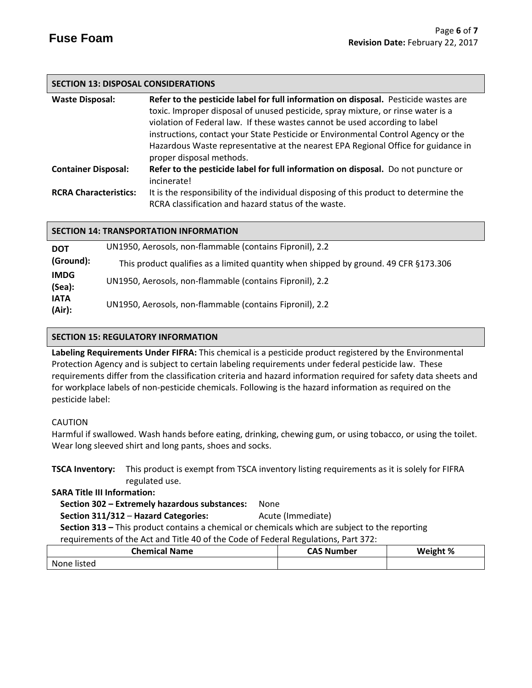# **SECTION 13: DISPOSAL CONSIDERATIONS**

| <b>Waste Disposal:</b>       | Refer to the pesticide label for full information on disposal. Pesticide wastes are              |
|------------------------------|--------------------------------------------------------------------------------------------------|
|                              | toxic. Improper disposal of unused pesticide, spray mixture, or rinse water is a                 |
|                              | violation of Federal law. If these wastes cannot be used according to label                      |
|                              | instructions, contact your State Pesticide or Environmental Control Agency or the                |
|                              | Hazardous Waste representative at the nearest EPA Regional Office for guidance in                |
|                              | proper disposal methods.                                                                         |
| <b>Container Disposal:</b>   | Refer to the pesticide label for full information on disposal. Do not puncture or<br>incinerate! |
| <b>RCRA Characteristics:</b> | It is the responsibility of the individual disposing of this product to determine the            |
|                              | RCRA classification and hazard status of the waste.                                              |

| <b>SECTION 14: TRANSPORTATION INFORMATION</b> |
|-----------------------------------------------|
|-----------------------------------------------|

| <b>DOT</b>            | UN1950, Aerosols, non-flammable (contains Fipronil), 2.2                             |
|-----------------------|--------------------------------------------------------------------------------------|
| (Ground):             | This product qualifies as a limited quantity when shipped by ground. 49 CFR §173.306 |
| <b>IMDG</b><br>(Sea): | UN1950, Aerosols, non-flammable (contains Fipronil), 2.2                             |
| <b>IATA</b><br>(Air): | UN1950, Aerosols, non-flammable (contains Fipronil), 2.2                             |

### **SECTION 15: REGULATORY INFORMATION**

**Labeling Requirements Under FIFRA:** This chemical is a pesticide product registered by the Environmental Protection Agency and is subject to certain labeling requirements under federal pesticide law. These requirements differ from the classification criteria and hazard information required for safety data sheets and for workplace labels of non-pesticide chemicals. Following is the hazard information as required on the pesticide label:

# CAUTION

Harmful if swallowed. Wash hands before eating, drinking, chewing gum, or using tobacco, or using the toilet. Wear long sleeved shirt and long pants, shoes and socks.

**TSCA Inventory:** This product is exempt from TSCA inventory listing requirements as it is solely for FIFRA regulated use.

**SARA Title III Information:**

 **Section 302 – Extremely hazardous substances:** None

**Section 311/312 - Hazard Categories:** Acute (Immediate)

 **Section 313 –** This product contains a chemical or chemicals which are subject to the reporting requirements of the Act and Title 40 of the Code of Federal Regulations, Part 372:

| <b>Chemical Name</b> | <b>CAS Number</b> | Weight % |
|----------------------|-------------------|----------|
| None listed          |                   |          |